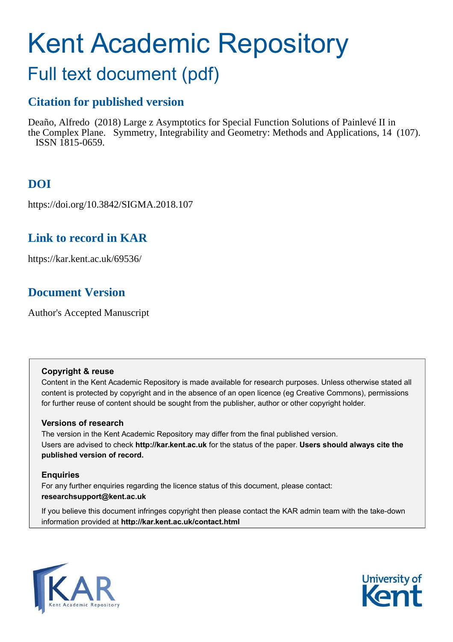# Kent Academic Repository

## Full text document (pdf)

## **Citation for published version**

Deaño, Alfredo (2018) Large z Asymptotics for Special Function Solutions of Painlevé II in the Complex Plane. Symmetry, Integrability and Geometry: Methods and Applications, 14 (107). ISSN 1815-0659.

## **DOI**

https://doi.org/10.3842/SIGMA.2018.107

### **Link to record in KAR**

https://kar.kent.ac.uk/69536/

## **Document Version**

Author's Accepted Manuscript

#### **Copyright & reuse**

Content in the Kent Academic Repository is made available for research purposes. Unless otherwise stated all content is protected by copyright and in the absence of an open licence (eg Creative Commons), permissions for further reuse of content should be sought from the publisher, author or other copyright holder.

#### **Versions of research**

The version in the Kent Academic Repository may differ from the final published version. Users are advised to check **http://kar.kent.ac.uk** for the status of the paper. **Users should always cite the published version of record.**

#### **Enquiries**

For any further enquiries regarding the licence status of this document, please contact: **researchsupport@kent.ac.uk**

If you believe this document infringes copyright then please contact the KAR admin team with the take-down information provided at **http://kar.kent.ac.uk/contact.html**

<span id="page-0-0"></span>

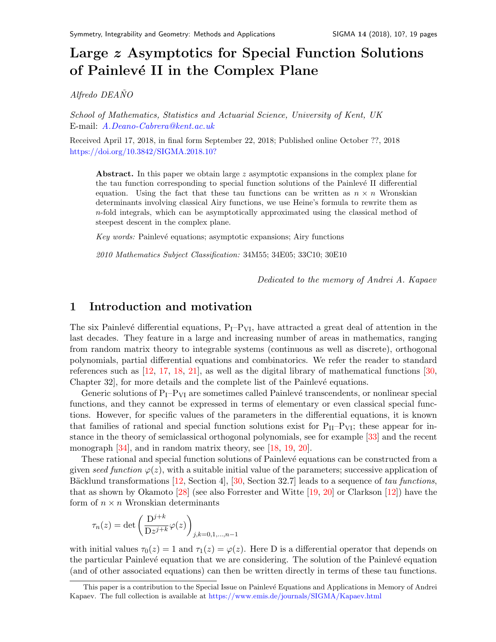## Large z Asymptotics for Special Function Solutions of Painl[e](#page-0-0)vé II in the Complex Plane

Alfredo DEANO

School of Mathematics, Statistics and Actuarial Science, University of Kent, UK E-mail: [A.Deano-Cabrera@kent.ac.uk](mailto:A.Deano-Cabrera@kent.ac.uk)

Received April 17, 2018, in final form September 22, 2018; Published online October ??, 2018 <https://doi.org/10.3842/SIGMA.2018.10?>

Abstract. In this paper we obtain large  $z$  asymptotic expansions in the complex plane for the tau function corresponding to special function solutions of the Painlevé II differential equation. Using the fact that these tau functions can be written as  $n \times n$  Wronskian determinants involving classical Airy functions, we use Heine's formula to rewrite them as n-fold integrals, which can be asymptotically approximated using the classical method of steepest descent in the complex plane.

Key words: Painlevé equations; asymptotic expansions; Airy functions

2010 Mathematics Subject Classification: 34M55; 34E05; 33C10; 30E10

<span id="page-1-5"></span><span id="page-1-4"></span><span id="page-1-3"></span><span id="page-1-2"></span><span id="page-1-1"></span><span id="page-1-0"></span>Dedicated to the memory of Andrei A. Kapaev

#### 1 Introduction and motivation

The six Painlevé differential equations,  $P_I-P_{VI}$ , have attracted a great deal of attention in the last decades. They feature in a large and increasing number of areas in mathematics, ranging from random matrix theory to integrable systems (continuous as well as discrete), orthogonal polynomials, partial differential equations and combinatorics. We refer the reader to standard references such as [\[12,](#page-17-0) [17,](#page-17-1) [18,](#page-17-2) [21\]](#page-17-3), as well as the digital library of mathematical functions [\[30,](#page-18-0) Chapter 32, for more details and the complete list of the Painlevé equations.

Generic solutions of  $P_1-P_{VI}$  are sometimes called Painlevé transcendents, or nonlinear special functions, and they cannot be expressed in terms of elementary or even classical special functions. However, for specific values of the parameters in the differential equations, it is known that families of rational and special function solutions exist for  $P_{II}-P_{VI}$ ; these appear for instance in the theory of semiclassical orthogonal polynomials, see for example [\[33\]](#page-18-1) and the recent monograph [\[34\]](#page-18-2), and in random matrix theory, see [\[18,](#page-17-2) [19,](#page-17-4) [20\]](#page-17-5).

These rational and special function solutions of Painlevé equations can be constructed from a given seed function  $\varphi(z)$ , with a suitable initial value of the parameters; successive application of Bäcklund transformations  $[12, \text{Section 4}]$ ,  $[30, \text{Section 32.7}]$  leads to a sequence of tau functions, that as shown by Okamoto [\[28\]](#page-18-3) (see also Forrester and Witte [\[19,](#page-17-4) [20\]](#page-17-5) or Clarkson [\[12\]](#page-17-0)) have the form of  $n \times n$  Wronskian determinants

$$
\tau_n(z) = \det \left( \frac{\mathcal{D}^{j+k}}{\mathcal{D}z^{j+k}} \varphi(z) \right)_{j,k=0,1,\dots,n-1}
$$

with initial values  $\tau_0(z) = 1$  and  $\tau_1(z) = \varphi(z)$ . Here D is a differential operator that depends on the particular Painlevé equation that we are considering. The solution of the Painlevé equation (and of other associated equations) can then be written directly in terms of these tau functions.

This paper is a contribution to the Special Issue on Painlevé Equations and Applications in Memory of Andrei Kapaev. The full collection is available at <https://www.emis.de/journals/SIGMA/Kapaev.html>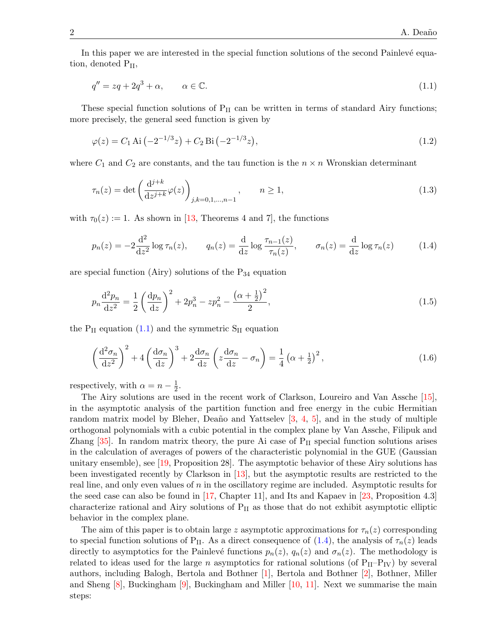In this paper we are interested in the special function solutions of the second Painlevé equation, denoted  $P_{II}$ ,

$$
q'' = zq + 2q^3 + \alpha, \qquad \alpha \in \mathbb{C}.\tag{1.1}
$$

These special function solutions of  $P_{II}$  can be written in terms of standard Airy functions; more precisely, the general seed function is given by

$$
\varphi(z) = C_1 \text{ Ai} \left( -2^{-1/3} z \right) + C_2 \text{ Bi} \left( -2^{-1/3} z \right),\tag{1.2}
$$

where  $C_1$  and  $C_2$  are constants, and the tau function is the  $n \times n$  Wronskian determinant

$$
\tau_n(z) = \det \left( \frac{d^{j+k}}{dz^{j+k}} \varphi(z) \right)_{j,k=0,1,\dots,n-1}, \qquad n \ge 1,
$$
\n(1.3)

with  $\tau_0(z) := 1$ . As shown in [\[13,](#page-17-6) Theorems 4 and 7], the functions

$$
p_n(z) = -2\frac{\mathrm{d}^2}{\mathrm{d}z^2}\log\tau_n(z), \qquad q_n(z) = \frac{\mathrm{d}}{\mathrm{d}z}\log\frac{\tau_{n-1}(z)}{\tau_n(z)}, \qquad \sigma_n(z) = \frac{\mathrm{d}}{\mathrm{d}z}\log\tau_n(z) \tag{1.4}
$$

are special function (Airy) solutions of the  $P_{34}$  equation

$$
p_n \frac{\mathrm{d}^2 p_n}{\mathrm{d}z^2} = \frac{1}{2} \left( \frac{\mathrm{d}p_n}{\mathrm{d}z} \right)^2 + 2p_n^3 - zp_n^2 - \frac{\left( \alpha + \frac{1}{2} \right)^2}{2},\tag{1.5}
$$

the  $P_{II}$  equation [\(1.1\)](#page-1-0) and the symmetric  $S_{II}$  equation

<span id="page-2-0"></span>
$$
\left(\frac{\mathrm{d}^2\sigma_n}{\mathrm{d}z^2}\right)^2 + 4\left(\frac{\mathrm{d}\sigma_n}{\mathrm{d}z}\right)^3 + 2\frac{\mathrm{d}\sigma_n}{\mathrm{d}z}\left(z\frac{\mathrm{d}\sigma_n}{\mathrm{d}z} - \sigma_n\right) = \frac{1}{4}\left(\alpha + \frac{1}{2}\right)^2,\tag{1.6}
$$

respectively, with  $\alpha = n - \frac{1}{2}$  $\frac{1}{2}$ .

The Airy solutions are used in the recent work of Clarkson, Loureiro and Van Assche [\[15\]](#page-17-7), in the asymptotic analysis of the partition function and free energy in the cubic Hermitian random matrix model by Bleher, Deaño and Yattselev  $\left[3, 4, 5\right]$  $\left[3, 4, 5\right]$  $\left[3, 4, 5\right]$ , and in the study of multiple orthogonal polynomials with a cubic potential in the complex plane by Van Assche, Filipuk and Zhang  $[35]$ . In random matrix theory, the pure Ai case of  $P_{II}$  special function solutions arises in the calculation of averages of powers of the characteristic polynomial in the GUE (Gaussian unitary ensemble), see [\[19,](#page-17-4) Proposition 28]. The asymptotic behavior of these Airy solutions has been investigated recently by Clarkson in [\[13\]](#page-17-6), but the asymptotic results are restricted to the real line, and only even values of  $n$  in the oscillatory regime are included. Asymptotic results for the seed case can also be found in [\[17,](#page-17-1) Chapter 11], and Its and Kapaev in [\[23,](#page-17-11) Proposition 4.3] characterize rational and Airy solutions of  $P_{II}$  as those that do not exhibit asymptotic elliptic behavior in the complex plane.

The aim of this paper is to obtain large z asymptotic approximations for  $\tau_n(z)$  corresponding to special function solutions of P<sub>II</sub>. As a direct consequence of [\(1.4\)](#page-1-1), the analysis of  $\tau_n(z)$  leads directly to asymptotics for the Painlevé functions  $p_n(z)$ ,  $q_n(z)$  and  $\sigma_n(z)$ . The methodology is related to ideas used for the large n asymptotics for rational solutions (of  $P_{II}-P_{IV}$ ) by several authors, including Balogh, Bertola and Bothner [\[1\]](#page-16-0), Bertola and Bothner [\[2\]](#page-17-12), Bothner, Miller and Sheng  $[8]$ , Buckingham  $[9]$ , Buckingham and Miller  $[10, 11]$  $[10, 11]$ . Next we summarise the main steps: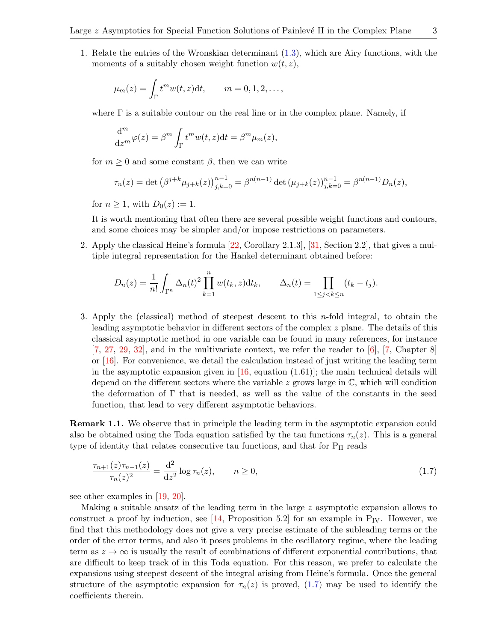1. Relate the entries of the Wronskian determinant [\(1.3\)](#page-1-2), which are Airy functions, with the moments of a suitably chosen weight function  $w(t, z)$ ,

$$
\mu_m(z) = \int_{\Gamma} t^m w(t, z) dt, \qquad m = 0, 1, 2, \dots,
$$

<span id="page-3-0"></span>where  $\Gamma$  is a suitable contour on the real line or in the complex plane. Namely, if

$$
\frac{\mathrm{d}^m}{\mathrm{d}z^m}\varphi(z) = \beta^m \int_{\Gamma} t^m w(t, z) \mathrm{d}t = \beta^m \mu_m(z),
$$

for  $m \geq 0$  and some constant  $\beta$ , then we can write

$$
\tau_n(z) = \det \left(\beta^{j+k} \mu_{j+k}(z)\right)_{j,k=0}^{n-1} = \beta^{n(n-1)} \det \left(\mu_{j+k}(z)\right)_{j,k=0}^{n-1} = \beta^{n(n-1)} D_n(z),
$$

for  $n \geq 1$ , with  $D_0(z) := 1$ .

It is worth mentioning that often there are several possible weight functions and contours, and some choices may be simpler and/or impose restrictions on parameters.

2. Apply the classical Heine's formula [\[22,](#page-17-17) Corollary 2.1.3], [\[31,](#page-18-5) Section 2.2], that gives a multiple integral representation for the Hankel determinant obtained before:

$$
D_n(z) = \frac{1}{n!} \int_{\Gamma^n} \Delta_n(t)^2 \prod_{k=1}^n w(t_k, z) dt_k, \qquad \Delta_n(t) = \prod_{1 \le j < k \le n} (t_k - t_j).
$$

3. Apply the (classical) method of steepest descent to this  $n$ -fold integral, to obtain the leading asymptotic behavior in different sectors of the complex z plane. The details of this classical asymptotic method in one variable can be found in many references, for instance  $[7, 27, 29, 32]$  $[7, 27, 29, 32]$  $[7, 27, 29, 32]$  $[7, 27, 29, 32]$  $[7, 27, 29, 32]$  $[7, 27, 29, 32]$  $[7, 27, 29, 32]$ , and in the multivariate context, we refer the reader to  $[6]$ ,  $[7,$  Chapter 8] or [\[16\]](#page-17-21). For convenience, we detail the calculation instead of just writing the leading term in the asymptotic expansion given in  $[16, \text{ equation } (1.61)]$ ; the main technical details will depend on the different sectors where the variable z grows large in  $\mathbb{C}$ , which will condition the deformation of Γ that is needed, as well as the value of the constants in the seed function, that lead to very different asymptotic behaviors.

Remark 1.1. We observe that in principle the leading term in the asymptotic expansion could also be obtained using the Toda equation satisfied by the tau functions  $\tau_n(z)$ . This is a general type of identity that relates consecutive tau functions, and that for  $P_{II}$  reads

<span id="page-3-1"></span>
$$
\frac{\tau_{n+1}(z)\tau_{n-1}(z)}{\tau_n(z)^2} = \frac{\mathrm{d}^2}{\mathrm{d}z^2} \log \tau_n(z), \qquad n \ge 0,
$$
\n(1.7)

see other examples in [\[19,](#page-17-4) [20\]](#page-17-5).

<span id="page-3-2"></span>Making a suitable ansatz of the leading term in the large z asymptotic expansion allows to construct a proof by induction, see [\[14,](#page-17-22) Proposition 5.2] for an example in  $P_{IV}$ . However, we find that this methodology does not give a very precise estimate of the subleading terms or the order of the error terms, and also it poses problems in the oscillatory regime, where the leading term as  $z \to \infty$  is usually the result of combinations of different exponential contributions, that are difficult to keep track of in this Toda equation. For this reason, we prefer to calculate the expansions using steepest descent of the integral arising from Heine's formula. Once the general structure of the asymptotic expansion for  $\tau_n(z)$  is proved, [\(1.7\)](#page-2-0) may be used to identify the coefficients therein.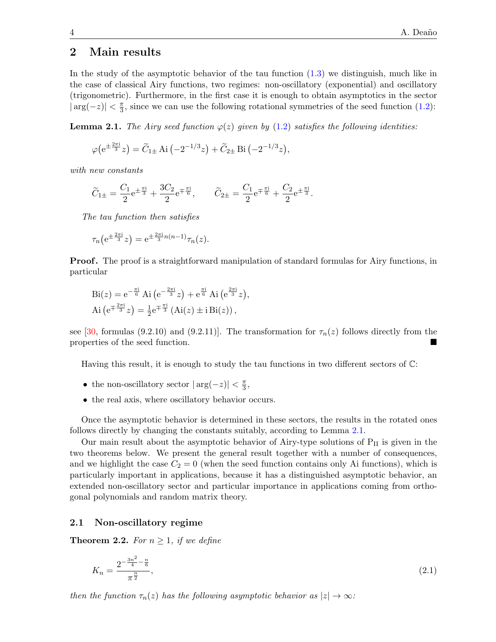#### 2 Main results

In the study of the asymptotic behavior of the tau function [\(1.3\)](#page-1-2) we distinguish, much like in the case of classical Airy functions, two regimes: non-oscillatory (exponential) and oscillatory (trigonometric). Furthermore, in the first case it is enough to obtain asymptotics in the sector  $|\arg(-z)| < \frac{\pi}{3}$  $\frac{\pi}{3}$ , since we can use the following rotational symmetries of the seed function [\(1.2\)](#page-1-3):

**Lemma 2.1.** The Airy seed function  $\varphi(z)$  given by [\(1.2\)](#page-1-3) satisfies the following identities:

<span id="page-4-0"></span>
$$
\varphi(e^{\pm \frac{2\pi i}{3}}z) = \widetilde{C}_{1\pm} \text{ Ai}\left(-2^{-1/3}z\right) + \widetilde{C}_{2\pm} \text{ Bi}\left(-2^{-1/3}z\right),
$$

with new constants

$$
\widetilde{C}_{1\pm} = \frac{C_1}{2} e^{\pm \frac{\pi i}{3}} + \frac{3C_2}{2} e^{\mp \frac{\pi i}{6}}, \qquad \widetilde{C}_{2\pm} = \frac{C_1}{2} e^{\mp \frac{\pi i}{6}} + \frac{C_2}{2} e^{\pm \frac{\pi i}{3}}.
$$

The tau function then satisfies

<span id="page-4-1"></span>
$$
\tau_n(e^{\pm \frac{2\pi i}{3}}z) = e^{\pm \frac{2\pi i}{3}n(n-1)}\tau_n(z).
$$

**Proof.** The proof is a straightforward manipulation of standard formulas for Airy functions, in particular

$$
Bi(z) = e^{-\frac{\pi i}{6}} Ai(e^{-\frac{2\pi i}{3}}z) + e^{\frac{\pi i}{6}} Ai(e^{\frac{2\pi i}{3}}z),
$$
  
 
$$
Ai(e^{\mp \frac{2\pi i}{3}}z) = \frac{1}{2}e^{\mp \frac{\pi i}{3}} (Ai(z) \pm i Bi(z)),
$$

see [\[30,](#page-18-0) formulas (9.2.10) and (9.2.11)]. The transformation for  $\tau_n(z)$  follows directly from the properties of the seed function.

Having this result, it is enough to study the tau functions in two different sectors of C:

- <span id="page-4-2"></span>• the non-oscillatory sector  $|\arg(-z)| < \frac{\pi}{3}$  $\frac{\pi}{3}$ ,
- the real axis, where oscillatory behavior occurs.

Once the asymptotic behavior is determined in these sectors, the results in the rotated ones follows directly by changing the constants suitably, according to Lemma [2.1.](#page-3-0)

Our main result about the asymptotic behavior of Airy-type solutions of  $P_{II}$  is given in the two theorems below. We present the general result together with a number of consequences, and we highlight the case  $C_2 = 0$  (when the seed function contains only Ai functions), which is particularly important in applications, because it has a distinguished asymptotic behavior, an extended non-oscillatory sector and particular importance in applications coming from orthogonal polynomials and random matrix theory.

#### 2.1 Non-oscillatory regime

**Theorem 2.2.** For  $n \geq 1$ , if we define

$$
K_n = \frac{2^{-\frac{3n^2}{4} - \frac{n}{6}}}{\pi^{\frac{n}{2}}},\tag{2.1}
$$

then the function  $\tau_n(z)$  has the following asymptotic behavior as  $|z| \to \infty$ :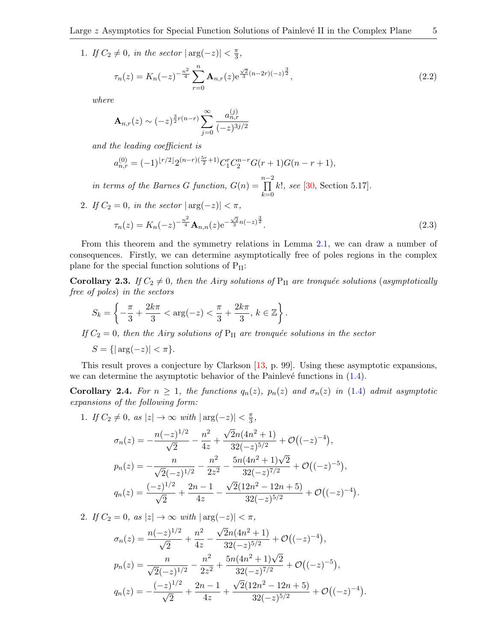1. If  $C_2 \neq 0$ , in the sector  $|\arg(-z)| < \frac{\pi}{3}$  $\frac{\pi}{3}$ ,

$$
\tau_n(z) = K_n(-z)^{-\frac{n^2}{4}} \sum_{r=0}^n \mathbf{A}_{n,r}(z) e^{\frac{\sqrt{2}}{3}(n-2r)(-z)^{\frac{3}{2}}},\tag{2.2}
$$

where

$$
\mathbf{A}_{n,r}(z) \sim (-z)^{\frac{3}{2}r(n-r)} \sum_{j=0}^{\infty} \frac{a_{n,r}^{(j)}}{(-z)^{3j/2}}
$$

<span id="page-5-0"></span>and the leading coefficient is

$$
a_{n,r}^{(0)} = (-1)^{\lfloor r/2 \rfloor} 2^{(n-r)\left(\frac{5r}{2} + 1\right)} C_1^r C_2^{n-r} G(r+1) G(n-r+1),
$$

in terms of the Barnes G function,  $G(n) = \prod^{n-2}$  $_{k=0}$  $k!,$  see  $[30, Section 5.17].$  $[30, Section 5.17].$ 

2. If  $C_2 = 0$ , in the sector  $|\arg(-z)| < \pi$ ,

<span id="page-5-2"></span>
$$
\tau_n(z) = K_n(-z)^{-\frac{n^2}{4}} \mathbf{A}_{n,n}(z) e^{-\frac{\sqrt{2}}{3}n(-z)^{\frac{3}{2}}}.
$$
\n(2.3)

From this theorem and the symmetry relations in Lemma [2.1,](#page-3-0) we can draw a number of consequences. Firstly, we can determine asymptotically free of poles regions in the complex plane for the special function solutions of  $P_{II}$ :

**Corollary 2.3.** If  $C_2 \neq 0$ , then the Airy solutions of P<sub>II</sub> are tronquée solutions (asymptotically free of poles) in the sectors

$$
S_k = \left\{ -\frac{\pi}{3} + \frac{2k\pi}{3} < \arg(-z) < \frac{\pi}{3} + \frac{2k\pi}{3}, \, k \in \mathbb{Z} \right\}.
$$

If  $C_2 = 0$ , then the Airy solutions of  $P_{II}$  are tronquée solutions in the sector

$$
S = \{ |\arg(-z)| < \pi \}.
$$

This result proves a conjecture by Clarkson [\[13,](#page-17-6) p. 99]. Using these asymptotic expansions, we can determine the asymptotic behavior of the Painlevé functions in  $(1.4)$ .

Corollary 2.4. For  $n \geq 1$ , the functions  $q_n(z)$ ,  $p_n(z)$  and  $\sigma_n(z)$  in [\(1.4\)](#page-1-1) admit asymptotic expansions of the following form:

1. If  $C_2 \neq 0$ , as  $|z| \to \infty$  with  $|\arg(-z)| < \frac{\pi}{3}$  $\frac{\pi}{3}$ ,

<span id="page-5-3"></span><span id="page-5-1"></span>
$$
\sigma_n(z) = -\frac{n(-z)^{1/2}}{\sqrt{2}} - \frac{n^2}{4z} + \frac{\sqrt{2}n(4n^2+1)}{32(-z)^{5/2}} + \mathcal{O}((-z)^{-4}),
$$
  
\n
$$
p_n(z) = -\frac{n}{\sqrt{2}(-z)^{1/2}} - \frac{n^2}{2z^2} - \frac{5n(4n^2+1)\sqrt{2}}{32(-z)^{7/2}} + \mathcal{O}((-z)^{-5}),
$$
  
\n
$$
q_n(z) = \frac{(-z)^{1/2}}{\sqrt{2}} + \frac{2n-1}{4z} - \frac{\sqrt{2}(12n^2-12n+5)}{32(-z)^{5/2}} + \mathcal{O}((-z)^{-4}).
$$

2. If  $C_2 = 0$ , as  $|z| \to \infty$  with  $|\arg(-z)| < \pi$ ,

$$
\sigma_n(z) = \frac{n(-z)^{1/2}}{\sqrt{2}} + \frac{n^2}{4z} - \frac{\sqrt{2}n(4n^2 + 1)}{32(-z)^{5/2}} + \mathcal{O}((-z)^{-4}),
$$
  
\n
$$
p_n(z) = \frac{n}{\sqrt{2}(-z)^{1/2}} - \frac{n^2}{2z^2} + \frac{5n(4n^2 + 1)\sqrt{2}}{32(-z)^{7/2}} + \mathcal{O}((-z)^{-5}),
$$
  
\n
$$
q_n(z) = -\frac{(-z)^{1/2}}{\sqrt{2}} + \frac{2n - 1}{4z} + \frac{\sqrt{2}(12n^2 - 12n + 5)}{32(-z)^{5/2}} + \mathcal{O}((-z)^{-4}).
$$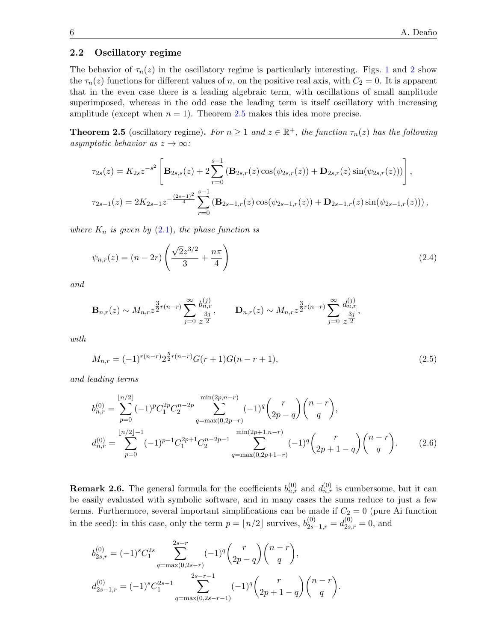#### 2.2 Oscillatory regime

The behavior of  $\tau_n(z)$  in the oscillatory regime is particularly interesting. Figs. [1](#page-6-0) and [2](#page-6-1) show the  $\tau_n(z)$  functions for different values of n, on the positive real axis, with  $C_2 = 0$ . It is apparent that in the even case there is a leading algebraic term, with oscillations of small amplitude superimposed, whereas in the odd case the leading term is itself oscillatory with increasing amplitude (except when  $n = 1$ ). Theorem [2.5](#page-5-0) makes this idea more precise.

**Theorem 2.5** (oscillatory regime). For  $n \geq 1$  and  $z \in \mathbb{R}^+$ , the function  $\tau_n(z)$  has the following asymptotic behavior as  $z \to \infty$ :

<span id="page-6-0"></span>
$$
\tau_{2s}(z) = K_{2s}z^{-s^2} \left[ \mathbf{B}_{2s,s}(z) + 2 \sum_{r=0}^{s-1} (\mathbf{B}_{2s,r}(z) \cos(\psi_{2s,r}(z)) + \mathbf{D}_{2s,r}(z) \sin(\psi_{2s,r}(z))) \right],
$$
  

$$
\tau_{2s-1}(z) = 2K_{2s-1}z^{-\frac{(2s-1)^2}{4}} \sum_{r=0}^{s-1} (\mathbf{B}_{2s-1,r}(z) \cos(\psi_{2s-1,r}(z)) + \mathbf{D}_{2s-1,r}(z) \sin(\psi_{2s-1,r}(z))),
$$

where  $K_n$  is given by  $(2.1)$ , the phase function is

$$
\psi_{n,r}(z) = (n - 2r) \left( \frac{\sqrt{2}z^{3/2}}{3} + \frac{n\pi}{4} \right)
$$
\n(2.4)

and

<span id="page-6-1"></span>
$$
\mathbf{B}_{n,r}(z) \sim M_{n,r} z^{\frac{3}{2}r(n-r)} \sum_{j=0}^{\infty} \frac{b_{n,r}^{(j)}}{z^{\frac{3j}{2}}}, \qquad \mathbf{D}_{n,r}(z) \sim M_{n,r} z^{\frac{3}{2}r(n-r)} \sum_{j=0}^{\infty} \frac{d_{n,r}^{(j)}}{z^{\frac{3j}{2}}},
$$

with

$$
M_{n,r} = (-1)^{r(n-r)} 2^{\frac{5}{2}r(n-r)} G(r+1)G(n-r+1),
$$
\n(2.5)

<span id="page-6-2"></span>and leading terms

$$
b_{n,r}^{(0)} = \sum_{p=0}^{\lfloor n/2 \rfloor} (-1)^p C_1^{2p} C_2^{n-2p} \sum_{q=\max(0,2p-r)}^{\min(2p,n-r)} (-1)^q {r \choose 2p-q} {n-r \choose q},
$$
  

$$
d_{n,r}^{(0)} = \sum_{p=0}^{\lfloor n/2 \rfloor -1} (-1)^{p-1} C_1^{2p+1} C_2^{n-2p-1} \sum_{q=\max(0,2p+1-r)}^{\min(2p+1,n-r)} (-1)^q {r \choose 2p+1-q} {n-r \choose q}.
$$
 (2.6)

**Remark 2.6.** The general formula for the coefficients  $b_{n,r}^{(0)}$  and  $d_{n,r}^{(0)}$  is cumbersome, but it can be easily evaluated with symbolic software, and in many cases the sums reduce to just a few terms. Furthermore, several important simplifications can be made if  $C_2 = 0$  (pure Ai function in the seed): in this case, only the term  $p = \lfloor n/2 \rfloor$  survives,  $b_{2s-1,r}^{(0)} = d_{2s,r}^{(0)} = 0$ , and

<span id="page-6-3"></span>
$$
b_{2s,r}^{(0)} = (-1)^s C_1^{2s} \sum_{q=\max(0,2s-r)}^{2s-r} (-1)^q {r \choose 2p-q} {n-r \choose q},
$$
  

$$
d_{2s-1,r}^{(0)} = (-1)^s C_1^{2s-1} \sum_{q=\max(0,2s-r-1)}^{2s-r-1} (-1)^q {r \choose 2p+1-q} {n-r \choose q}.
$$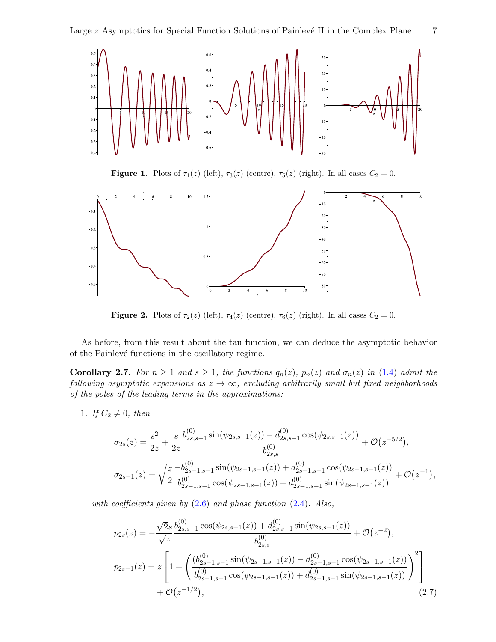

<span id="page-7-2"></span>Figure 1. Plots of  $\tau_1(z)$  (left),  $\tau_3(z)$  (centre),  $\tau_5(z)$  (right). In all cases  $C_2 = 0$ .



<span id="page-7-3"></span><span id="page-7-0"></span>Figure 2. Plots of  $\tau_2(z)$  (left),  $\tau_4(z)$  (centre),  $\tau_6(z)$  (right). In all cases  $C_2 = 0$ .

As before, from this result about the tau function, we can deduce the asymptotic behavior of the Painlevé functions in the oscillatory regime.

**Corollary 2.7.** For  $n \geq 1$  and  $s \geq 1$ , the functions  $q_n(z)$ ,  $p_n(z)$  and  $\sigma_n(z)$  in [\(1.4\)](#page-1-1) admit the following asymptotic expansions as  $z \to \infty$ , excluding arbitrarily small but fixed neighborhoods of the poles of the leading terms in the approximations:

1. If  $C_2 \neq 0$ , then

$$
\sigma_{2s}(z) = \frac{s^2}{2z} + \frac{s}{2z} \frac{b_{2s,s-1}^{(0)} \sin(\psi_{2s,s-1}(z)) - d_{2s,s-1}^{(0)} \cos(\psi_{2s,s-1}(z))}{b_{2s,s}^{(0)}} + \mathcal{O}(z^{-5/2}),
$$
  

$$
\sigma_{2s-1}(z) = \sqrt{\frac{z}{2}} \frac{-b_{2s-1,s-1}^{(0)} \sin(\psi_{2s-1,s-1}(z)) + d_{2s-1,s-1}^{(0)} \cos(\psi_{2s-1,s-1}(z))}{b_{2s-1,s-1}^{(0)} \cos(\psi_{2s-1,s-1}(z)) + d_{2s-1,s-1}^{(0)} \sin(\psi_{2s-1,s-1}(z))} + \mathcal{O}(z^{-1}),
$$

with coefficients given by  $(2.6)$  and phase function  $(2.4)$ . Also,

<span id="page-7-1"></span>
$$
p_{2s}(z) = -\frac{\sqrt{2}s}{\sqrt{z}} \frac{b_{2s,s-1}^{(0)}\cos(\psi_{2s,s-1}(z)) + d_{2s,s-1}^{(0)}\sin(\psi_{2s,s-1}(z))}{b_{2s,s}^{(0)}} + \mathcal{O}(z^{-2}),
$$
  
\n
$$
p_{2s-1}(z) = z \left[ 1 + \left( \frac{(b_{2s-1,s-1}^{(0)}\sin(\psi_{2s-1,s-1}(z)) - d_{2s-1,s-1}^{(0)}\cos(\psi_{2s-1,s-1}(z))}{b_{2s-1,s-1}^{(0)}\cos(\psi_{2s-1,s-1}(z)) + d_{2s-1,s-1}^{(0)}\sin(\psi_{2s-1,s-1}(z))} \right)^2 \right] + \mathcal{O}(z^{-1/2}),
$$
\n(2.7)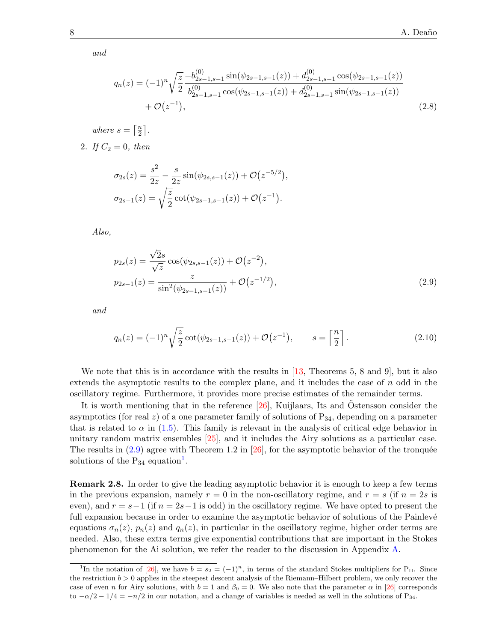and

<span id="page-8-1"></span>
$$
q_n(z) = (-1)^n \sqrt{\frac{z}{2}} \frac{-b_{2s-1,s-1}^{(0)} \sin(\psi_{2s-1,s-1}(z)) + d_{2s-1,s-1}^{(0)} \cos(\psi_{2s-1,s-1}(z)) + b_{2s-1,s-1}^{(0)} \sin(\psi_{2s-1,s-1}(z)) + \mathcal{O}(z^{-1}),
$$
  
+  $\mathcal{O}(z^{-1}),$  (2.8)

where  $s = \lceil \frac{n}{2} \rceil$  $\frac{n}{2}$ .

2. If  $C_2 = 0$ , then

<span id="page-8-0"></span>
$$
\sigma_{2s}(z) = \frac{s^2}{2z} - \frac{s}{2z} \sin(\psi_{2s,s-1}(z)) + \mathcal{O}(z^{-5/2}),
$$
  

$$
\sigma_{2s-1}(z) = \sqrt{\frac{z}{2}} \cot(\psi_{2s-1,s-1}(z)) + \mathcal{O}(z^{-1}).
$$

Also,

$$
p_{2s}(z) = \frac{\sqrt{2}s}{\sqrt{z}} \cos(\psi_{2s,s-1}(z)) + \mathcal{O}(z^{-2}),
$$
  
\n
$$
p_{2s-1}(z) = \frac{z}{\sin^2(\psi_{2s-1,s-1}(z))} + \mathcal{O}(z^{-1/2}),
$$
\n(2.9)

and

<span id="page-8-3"></span><span id="page-8-2"></span>
$$
q_n(z) = (-1)^n \sqrt{\frac{z}{2}} \cot(\psi_{2s-1,s-1}(z)) + \mathcal{O}(z^{-1}), \qquad s = \left\lceil \frac{n}{2} \right\rceil. \tag{2.10}
$$

We note that this is in accordance with the results in [\[13,](#page-17-6) Theorems 5, 8 and 9], but it also extends the asymptotic results to the complex plane, and it includes the case of  $n$  odd in the oscillatory regime. Furthermore, it provides more precise estimates of the remainder terms.

It is worth mentioning that in the reference  $[26]$ , Kuijlaars, Its and Östensson consider the asymptotics (for real z) of a one parameter family of solutions of  $P_{34}$ , depending on a parameter that is related to  $\alpha$  in [\(1.5\)](#page-1-4). This family is relevant in the analysis of critical edge behavior in unitary random matrix ensembles [\[25\]](#page-17-24), and it includes the Airy solutions as a particular case. The results in  $(2.9)$  agree with Theorem 1.2 in  $[26]$ , for the asymptotic behavior of the tronquée solutions of the  $P_{34}$  equation<sup>[1](#page-7-1)</sup>.

Remark 2.8. In order to give the leading asymptotic behavior it is enough to keep a few terms in the previous expansion, namely  $r = 0$  in the non-oscillatory regime, and  $r = s$  (if  $n = 2s$  is even), and  $r = s-1$  (if  $n = 2s-1$  is odd) in the oscillatory regime. We have opted to present the full expansion because in order to examine the asymptotic behavior of solutions of the Painlevé equations  $\sigma_n(z)$ ,  $p_n(z)$  and  $q_n(z)$ , in particular in the oscillatory regime, higher order terms are needed. Also, these extra terms give exponential contributions that are important in the Stokes phenomenon for the Ai solution, we refer the reader to the discussion in Appendix [A.](#page-15-0)

<sup>&</sup>lt;sup>1</sup>In the notation of [\[26\]](#page-17-23), we have  $b = s_2 = (-1)^n$ , in terms of the standard Stokes multipliers for P<sub>II</sub>. Since the restriction  $b > 0$  applies in the steepest descent analysis of the Riemann–Hilbert problem, we only recover the case of even n for Airy solutions, with  $b = 1$  and  $\beta_0 = 0$ . We also note that the parameter  $\alpha$  in [\[26\]](#page-17-23) corresponds to  $-\alpha/2 - 1/4 = -n/2$  in our notation, and a change of variables is needed as well in the solutions of P<sub>34</sub>.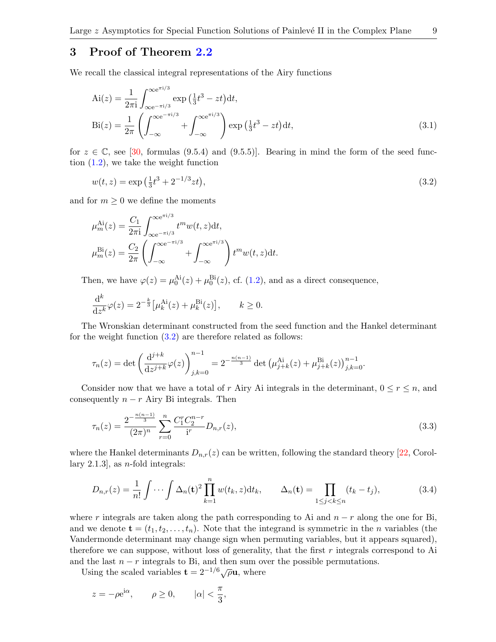#### 3 Proof of Theorem [2.2](#page-3-2)

We recall the classical integral representations of the Airy functions

$$
Ai(z) = \frac{1}{2\pi i} \int_{\infty}^{\infty e^{\pi i/3}} \exp\left(\frac{1}{3}t^3 - zt\right) dt,
$$
  
\n
$$
Bi(z) = \frac{1}{2\pi} \left( \int_{-\infty}^{\infty e^{-\pi i/3}} + \int_{-\infty}^{\infty e^{\pi i/3}} \right) \exp\left(\frac{1}{3}t^3 - zt\right) dt,
$$
\n(3.1)

for  $z \in \mathbb{C}$ , see [\[30,](#page-18-0) formulas (9.5.4) and (9.5.5)]. Bearing in mind the form of the seed function [\(1.2\)](#page-1-3), we take the weight function

$$
w(t, z) = \exp\left(\frac{1}{3}t^3 + 2^{-1/3}zt\right),\tag{3.2}
$$

and for  $m \geq 0$  we define the moments

$$
\mu_m^{\text{Ai}}(z) = \frac{C_1}{2\pi i} \int_{\infty}^{\infty} e^{-\pi i/3} t^m w(t, z) dt,
$$
  

$$
\mu_m^{\text{Bi}}(z) = \frac{C_2}{2\pi} \left( \int_{-\infty}^{\infty} e^{-\pi i/3} + \int_{-\infty}^{\infty} e^{-\pi i/3} \right) t^m w(t, z) dt.
$$

Then, we have  $\varphi(z) = \mu_0^{\text{Ai}}(z) + \mu_0^{\text{Bi}}(z)$ , cf. [\(1.2\)](#page-1-3), and as a direct consequence,

$$
\frac{\mathrm{d}^k}{\mathrm{d}z^k}\varphi(z) = 2^{-\frac{k}{3}}\big[\mu_k^{\mathrm{Ai}}(z) + \mu_k^{\mathrm{Bi}}(z)\big], \qquad k \ge 0.
$$

The Wronskian determinant constructed from the seed function and the Hankel determinant for the weight function [\(3.2\)](#page-8-0) are therefore related as follows:

<span id="page-9-0"></span>
$$
\tau_n(z) = \det \left( \frac{\mathrm{d}^{j+k}}{\mathrm{d}z^{j+k}} \varphi(z) \right)_{j,k=0}^{n-1} = 2^{-\frac{n(n-1)}{3}} \det \left( \mu_{j+k}^{\mathrm{Ai}}(z) + \mu_{j+k}^{\mathrm{Bi}}(z) \right)_{j,k=0}^{n-1}.
$$

Consider now that we have a total of r Airy Ai integrals in the determinant,  $0 \le r \le n$ , and consequently  $n - r$  Airy Bi integrals. Then

$$
\tau_n(z) = \frac{2^{-\frac{n(n-1)}{3}}}{(2\pi)^n} \sum_{r=0}^n \frac{C_1^r C_2^{n-r}}{i^r} D_{n,r}(z),\tag{3.3}
$$

where the Hankel determinants  $D_{n,r}(z)$  can be written, following the standard theory [\[22,](#page-17-17) Corollary 2.1.3, as *n*-fold integrals:

$$
D_{n,r}(z) = \frac{1}{n!} \int \cdots \int \Delta_n(\mathbf{t})^2 \prod_{k=1}^n w(t_k, z) dt_k, \qquad \Delta_n(\mathbf{t}) = \prod_{1 \le j < k \le n} (t_k - t_j), \tag{3.4}
$$

where r integrals are taken along the path corresponding to Ai and  $n - r$  along the one for Bi, and we denote  $\mathbf{t} = (t_1, t_2, \dots, t_n)$ . Note that the integrand is symmetric in the *n* variables (the Vandermonde determinant may change sign when permuting variables, but it appears squared), therefore we can suppose, without loss of generality, that the first  $r$  integrals correspond to Ai and the last  $n - r$  integrals to Bi, and then sum over the possible permutations.

Using the scaled variables  $\mathbf{t} = 2^{-1/6} \sqrt{\rho} \mathbf{u}$ , where

$$
z = -\rho e^{i\alpha}, \qquad \rho \ge 0, \qquad |\alpha| < \frac{\pi}{3},
$$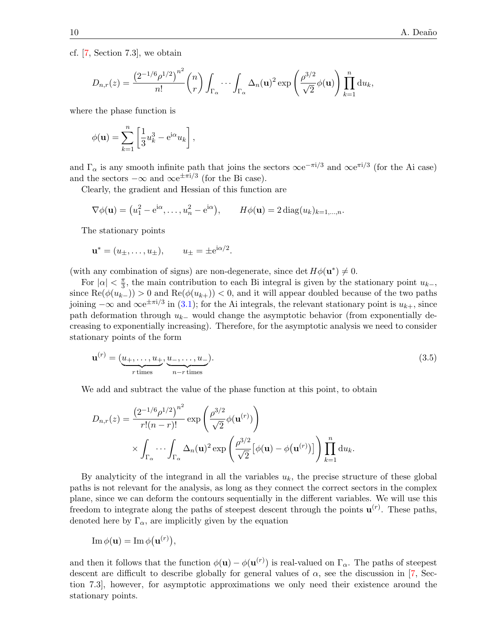cf. [\[7,](#page-17-18) Section 7.3], we obtain

$$
D_{n,r}(z) = \frac{\left(2^{-1/6}\rho^{1/2}\right)^{n^2}}{n!} {n \choose r} \int_{\Gamma_{\alpha}} \cdots \int_{\Gamma_{\alpha}} \Delta_n(\mathbf{u})^2 \exp\left(\frac{\rho^{3/2}}{\sqrt{2}}\phi(\mathbf{u})\right) \prod_{k=1}^n du_k,
$$

where the phase function is

$$
\phi(\mathbf{u}) = \sum_{k=1}^{n} \left[ \frac{1}{3} u_k^3 - e^{i\alpha} u_k \right],
$$

and  $\Gamma_{\alpha}$  is any smooth infinite path that joins the sectors  $\infty e^{-\pi i/3}$  and  $\infty e^{\pi i/3}$  (for the Ai case) and the sectors  $-\infty$  and  $\infty e^{\pm \pi i/3}$  (for the Bi case).

Clearly, the gradient and Hessian of this function are

$$
\nabla \phi(\mathbf{u}) = (u_1^2 - e^{i\alpha}, \dots, u_n^2 - e^{i\alpha}), \qquad H\phi(\mathbf{u}) = 2 \operatorname{diag}(u_k)_{k=1,\dots,n}.
$$

<span id="page-10-0"></span>.

The stationary points

$$
u* = (u\pm,...,u\pm),
$$
  $u\pm = \pm e^{i\alpha/2}$ 

(with any combination of signs) are non-degenerate, since det  $H\phi(\mathbf{u}^*) \neq 0$ .

For  $|\alpha| < \frac{\pi}{3}$  $\frac{\pi}{3}$ , the main contribution to each Bi integral is given by the stationary point  $u_{k-}$ , since  $\text{Re}(\phi(u_{k-})) > 0$  and  $\text{Re}(\phi(u_{k+})) < 0$ , and it will appear doubled because of the two paths joining  $-\infty$  and  $\infty e^{\pm \pi i/3}$  in [\(3.1\)](#page-8-1); for the Ai integrals, the relevant stationary point is  $u_{k+}$ , since path deformation through  $u_{k-}$  would change the asymptotic behavior (from exponentially decreasing to exponentially increasing). Therefore, for the asymptotic analysis we need to consider stationary points of the form

$$
\mathbf{u}^{(r)} = (\underbrace{u_+,\dots,u_+}_{r \text{ times}}, \underbrace{u_-,\dots,u_-}_{n-r \text{ times}}). \tag{3.5}
$$

We add and subtract the value of the phase function at this point, to obtain

$$
D_{n,r}(z) = \frac{\left(2^{-1/6}\rho^{1/2}\right)^{n^2}}{r!(n-r)!} \exp\left(\frac{\rho^{3/2}}{\sqrt{2}}\phi(\mathbf{u}^{(r)})\right)
$$

$$
\times \int_{\Gamma_{\alpha}} \cdots \int_{\Gamma_{\alpha}} \Delta_n(\mathbf{u})^2 \exp\left(\frac{\rho^{3/2}}{\sqrt{2}}\left[\phi(\mathbf{u}) - \phi(\mathbf{u}^{(r)})\right]\right) \prod_{k=1}^n du_k.
$$

By analyticity of the integrand in all the variables  $u_k$ , the precise structure of these global paths is not relevant for the analysis, as long as they connect the correct sectors in the complex plane, since we can deform the contours sequentially in the different variables. We will use this freedom to integrate along the paths of steepest descent through the points  $\mathbf{u}^{(r)}$ . These paths, denoted here by  $\Gamma_{\alpha}$ , are implicitly given by the equation

$$
\operatorname{Im}\phi(\mathbf{u})=\operatorname{Im}\phi(\mathbf{u}^{(r)}),
$$

and then it follows that the function  $\phi(\mathbf{u}) - \phi(\mathbf{u}^{(r)})$  is real-valued on  $\Gamma_{\alpha}$ . The paths of steepest descent are difficult to describe globally for general values of  $\alpha$ , see the discussion in [\[7,](#page-17-18) Section 7.3], however, for asymptotic approximations we only need their existence around the stationary points.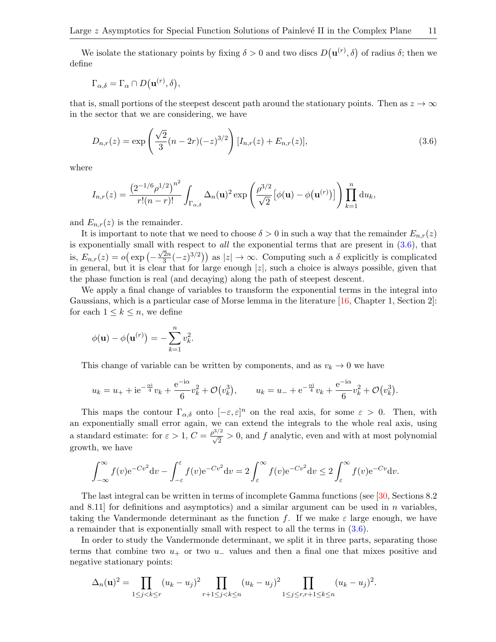We isolate the stationary points by fixing  $\delta > 0$  and two discs  $D(\mathbf{u}^{(r)}, \delta)$  of radius  $\delta$ ; then we define

$$
\Gamma_{\alpha,\delta} = \Gamma_{\alpha} \cap D(\mathbf{u}^{(r)},\delta),
$$

that is, small portions of the steepest descent path around the stationary points. Then as  $z \to \infty$ in the sector that we are considering, we have

$$
D_{n,r}(z) = \exp\left(\frac{\sqrt{2}}{3}(n-2r)(-z)^{3/2}\right)[I_{n,r}(z) + E_{n,r}(z)],\tag{3.6}
$$

where

<span id="page-11-0"></span>
$$
I_{n,r}(z) = \frac{\left(2^{-1/6}\rho^{1/2}\right)^{n^2}}{r!(n-r)!} \int_{\Gamma_{\alpha,\delta}} \Delta_n(\mathbf{u})^2 \exp\left(\frac{\rho^{3/2}}{\sqrt{2}}\left[\phi(\mathbf{u}) - \phi(\mathbf{u}^{(r)})\right]\right) \prod_{k=1}^n du_k,
$$

and  $E_{n,r}(z)$  is the remainder.

It is important to note that we need to choose  $\delta > 0$  in such a way that the remainder  $E_{n,r}(z)$ is exponentially small with respect to *all* the exponential terms that are present in  $(3.6)$ , that is,  $E_{n,r}(z) = o\left(\exp\left(-\frac{z}{z}\right)\right)$  $\sqrt{2}n$  $\left(\frac{2n}{3}(-z)^{3/2}\right)$  as  $|z| \to \infty$ . Computing such a  $\delta$  explicitly is complicated in general, but it is clear that for large enough  $|z|$ , such a choice is always possible, given that the phase function is real (and decaying) along the path of steepest descent.

We apply a final change of variables to transform the exponential terms in the integral into Gaussians, which is a particular case of Morse lemma in the literature [\[16,](#page-17-21) Chapter 1, Section 2]: for each  $1 \leq k \leq n$ , we define

<span id="page-11-1"></span>
$$
\phi(\mathbf{u}) - \phi(\mathbf{u}^{(r)}) = -\sum_{k=1}^n v_k^2.
$$

This change of variable can be written by components, and as  $v_k \to 0$  we have

$$
u_k = u_+ + i e^{-\frac{\alpha i}{4}} v_k + \frac{e^{-i\alpha}}{6} v_k^2 + \mathcal{O}(v_k^3), \qquad u_k = u_- + e^{-\frac{\alpha i}{4}} v_k + \frac{e^{-i\alpha}}{6} v_k^2 + \mathcal{O}(v_k^3).
$$

This maps the contour  $\Gamma_{\alpha,\delta}$  onto  $[-\epsilon,\epsilon]^n$  on the real axis, for some  $\epsilon > 0$ . Then, with an exponentially small error again, we can extend the integrals to the whole real axis, using a standard estimate: for  $\varepsilon > 1$ ,  $C = \frac{\rho^{3/2}}{\sqrt{2}} > 0$ , and f analytic, even and with at most polynomial growth, we have

$$
\int_{-\infty}^{\infty} f(v)e^{-Cv^2} dv - \int_{-\varepsilon}^{\varepsilon} f(v)e^{-Cv^2} dv = 2 \int_{\varepsilon}^{\infty} f(v)e^{-Cv^2} dv \le 2 \int_{\varepsilon}^{\infty} f(v)e^{-Cv} dv.
$$

The last integral can be written in terms of incomplete Gamma functions (see [\[30,](#page-18-0) Sections 8.2 and 8.11 for definitions and asymptotics) and a similar argument can be used in  $n$  variables, taking the Vandermonde determinant as the function f. If we make  $\varepsilon$  large enough, we have a remainder that is exponentially small with respect to all the terms in [\(3.6\)](#page-10-0).

In order to study the Vandermonde determinant, we split it in three parts, separating those terms that combine two  $u_+$  or two  $u_-\,$  values and then a final one that mixes positive and negative stationary points:

$$
\Delta_n(\mathbf{u})^2 = \prod_{1 \le j < k \le r} (u_k - u_j)^2 \prod_{r+1 \le j < k \le n} (u_k - u_j)^2 \prod_{1 \le j \le r, r+1 \le k \le n} (u_k - u_j)^2.
$$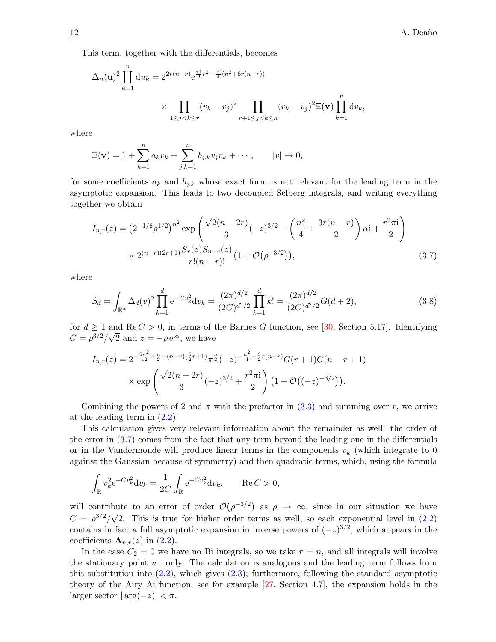This term, together with the differentials, becomes

$$
\Delta_n(\mathbf{u})^2 \prod_{k=1}^n du_k = 2^{2r(n-r)} e^{\frac{\pi i}{2}r^2 - \frac{\alpha i}{4}(n^2 + 6r(n-r))}
$$
  
\$\times \prod\_{1 \le j < k \le r} (v\_k - v\_j)^2 \prod\_{r+1 \le j < k \le n} (v\_k - v\_j)^2 \Xi(\mathbf{v}) \prod\_{k=1}^n dv\_k\$,

where

<span id="page-12-0"></span>
$$
\Xi(\mathbf{v}) = 1 + \sum_{k=1}^{n} a_k v_k + \sum_{j,k=1}^{n} b_{j,k} v_j v_k + \cdots, \qquad |v| \to 0,
$$

for some coefficients  $a_k$  and  $b_{j,k}$  whose exact form is not relevant for the leading term in the asymptotic expansion. This leads to two decoupled Selberg integrals, and writing everything together we obtain

$$
I_{n,r}(z) = (2^{-1/6}\rho^{1/2})^{n^2} \exp\left(\frac{\sqrt{2}(n-2r)}{3}(-z)^{3/2} - \left(\frac{n^2}{4} + \frac{3r(n-r)}{2}\right)\alpha i + \frac{r^2\pi i}{2}\right) \times 2^{(n-r)(2r+1)} \frac{S_r(z)S_{n-r}(z)}{r!(n-r)!} \left(1 + \mathcal{O}\left(\rho^{-3/2}\right)\right),\tag{3.7}
$$

where

$$
S_d = \int_{\mathbb{R}^d} \Delta_d(v)^2 \prod_{k=1}^d e^{-Cv_k^2} dv_k = \frac{(2\pi)^{d/2}}{(2C)^{d^2/2}} \prod_{k=1}^d k! = \frac{(2\pi)^{d/2}}{(2C)^{d^2/2}} G(d+2),
$$
\n(3.8)

for  $d \geq 1$  and Re  $C > 0$ , in terms of the Barnes G function, see [\[30,](#page-18-0) Section 5.17]. Identifying  $C = \rho^{3/2}/\sqrt{2}$  and  $z = -\rho e^{i\alpha}$ , we have

$$
I_{n,r}(z) = 2^{-\frac{5n^2}{12} + \frac{n}{2} + (n-r)(\frac{5}{2}r+1)} \pi^{\frac{n}{2}}(-z)^{-\frac{n^2}{4} - \frac{3}{2}r(n-r)} G(r+1)G(n-r+1)
$$
  
 
$$
\times \exp\left(\frac{\sqrt{2}(n-2r)}{3}(-z)^{3/2} + \frac{r^2\pi i}{2}\right) \left(1 + \mathcal{O}\left((-z)^{-3/2}\right)\right).
$$

Combining the powers of 2 and  $\pi$  with the prefactor in [\(3.3\)](#page-8-2) and summing over r, we arrive at the leading term in [\(2.2\)](#page-4-0).

This calculation gives very relevant information about the remainder as well: the order of the error in [\(3.7\)](#page-11-0) comes from the fact that any term beyond the leading one in the differentials or in the Vandermonde will produce linear terms in the components  $v_k$  (which integrate to 0 against the Gaussian because of symmetry) and then quadratic terms, which, using the formula

$$
\int_{\mathbb{R}} v_k^2 e^{-Cv_k^2} dv_k = \frac{1}{2C} \int_{\mathbb{R}} e^{-Cv_k^2} dv_k, \quad \text{Re } C > 0,
$$

will contribute to an error of order  $\mathcal{O}(\rho^{-3/2})$  as  $\rho \to \infty$ , since in our situation we have  $C = \rho^{3/2}/\sqrt{2}$ . This is true for higher order terms as well, so each exponential level in [\(2.2\)](#page-4-0) contains in fact a full asymptotic expansion in inverse powers of  $(-z)^{3/2}$ , which appears in the coefficients  $\mathbf{A}_{n,r}(z)$  in [\(2.2\)](#page-4-0).

In the case  $C_2 = 0$  we have no Bi integrals, so we take  $r = n$ , and all integrals will involve the stationary point  $u_+$  only. The calculation is analogous and the leading term follows from this substitution into  $(2.2)$ , which gives  $(2.3)$ ; furthermore, following the standard asymptotic theory of the Airy Ai function, see for example [\[27,](#page-17-19) Section 4.7], the expansion holds in the larger sector  $|\arg(-z)| < \pi$ .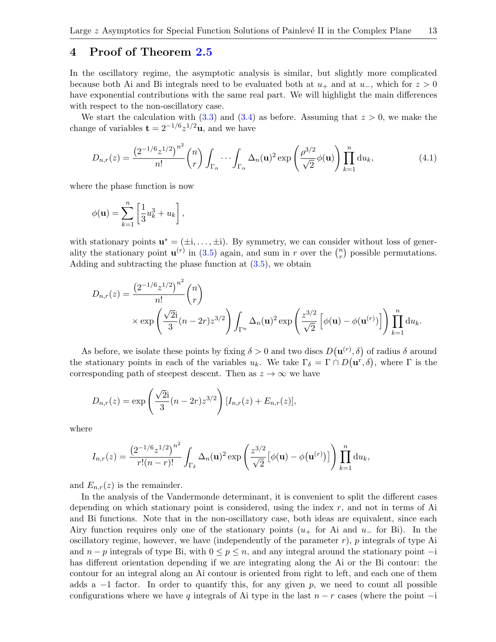#### 4 Proof of Theorem [2.5](#page-5-0)

In the oscillatory regime, the asymptotic analysis is similar, but slightly more complicated because both Ai and Bi integrals need to be evaluated both at  $u_+$  and at  $u_-$ , which for  $z > 0$ have exponential contributions with the same real part. We will highlight the main differences with respect to the non-oscillatory case.

We start the calculation with [\(3.3\)](#page-8-2) and [\(3.4\)](#page-8-3) as before. Assuming that  $z > 0$ , we make the change of variables  $\mathbf{t} = 2^{-1/6} z^{1/2} \mathbf{u}$ , and we have

$$
D_{n,r}(z) = \frac{\left(2^{-1/6}z^{1/2}\right)^{n^2}}{n!} {n \choose r} \int_{\Gamma_{\alpha}} \cdots \int_{\Gamma_{\alpha}} \Delta_n(\mathbf{u})^2 \exp\left(\frac{\rho^{3/2}}{\sqrt{2}}\phi(\mathbf{u})\right) \prod_{k=1}^n du_k, \tag{4.1}
$$

where the phase function is now

$$
\phi(\mathbf{u}) = \sum_{k=1}^n \left[ \frac{1}{3} u_k^3 + u_k \right],
$$

with stationary points  $\mathbf{u}^* = (\pm i, \dots, \pm i)$ . By symmetry, we can consider without loss of generality the stationary point  $\mathbf{u}^{(r)}$  in [\(3.5\)](#page-9-0) again, and sum in r over the  $\binom{n}{r}$  $r$ <sup>n</sup>) possible permutations. Adding and subtracting the phase function at [\(3.5\)](#page-9-0), we obtain

$$
D_{n,r}(z) = \frac{\left(2^{-1/6}z^{1/2}\right)^{n^2}}{n!} {n \choose r}
$$
  
 
$$
\times \exp\left(\frac{\sqrt{2}i}{3}(n-2r)z^{3/2}\right) \int_{\Gamma^n} \Delta_n(\mathbf{u})^2 \exp\left(\frac{z^{3/2}}{\sqrt{2}}\left[\phi(\mathbf{u}) - \phi(\mathbf{u}^{(r)})\right]\right) \prod_{k=1}^n du_k.
$$

As before, we isolate these points by fixing  $\delta > 0$  and two discs  $D(\mathbf{u}^{(r)}, \delta)$  of radius  $\delta$  around the stationary points in each of the variables  $u_k$ . We take  $\Gamma_\delta = \Gamma \cap D(\mathbf{u}^r, \delta)$ , where  $\Gamma$  is the corresponding path of steepest descent. Then as  $z \to \infty$  we have

$$
D_{n,r}(z) = \exp\left(\frac{\sqrt{2}i}{3}(n-2r)z^{3/2}\right)[I_{n,r}(z) + E_{n,r}(z)],
$$

where

$$
I_{n,r}(z) = \frac{\left(2^{-1/6}z^{1/2}\right)^{n^2}}{r!(n-r)!} \int_{\Gamma_{\delta}} \Delta_n(\mathbf{u})^2 \exp\left(\frac{z^{3/2}}{\sqrt{2}}\left[\phi(\mathbf{u}) - \phi(\mathbf{u}^{(r)})\right]\right) \prod_{k=1}^n du_k,
$$

and  $E_{n,r}(z)$  is the remainder.

In the analysis of the Vandermonde determinant, it is convenient to split the different cases depending on which stationary point is considered, using the index  $r$ , and not in terms of Ai and Bi functions. Note that in the non-oscillatory case, both ideas are equivalent, since each Airy function requires only one of the stationary points  $(u_{+}$  for Ai and  $u_{-}$  for Bi). In the oscillatory regime, however, we have (independently of the parameter  $r$ ), p integrals of type Ai and  $n - p$  integrals of type Bi, with  $0 \le p \le n$ , and any integral around the stationary point  $-i$ has different orientation depending if we are integrating along the Ai or the Bi contour: the contour for an integral along an Ai contour is oriented from right to left, and each one of them adds a  $-1$  factor. In order to quantify this, for any given p, we need to count all possible configurations where we have q integrals of Ai type in the last  $n - r$  cases (where the point  $-i$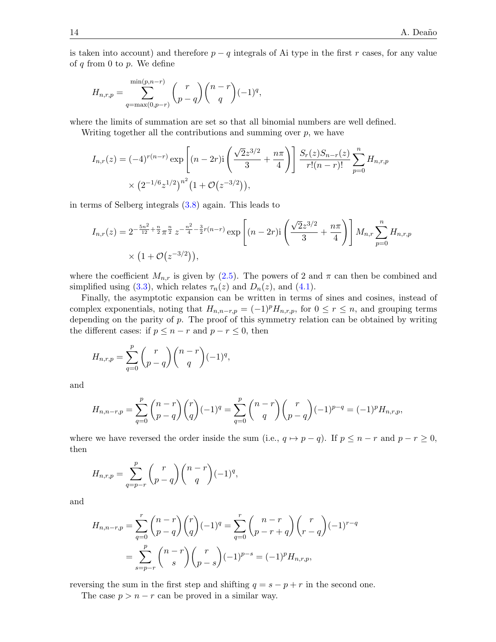is taken into account) and therefore  $p - q$  integrals of Ai type in the first r cases, for any value of  $q$  from 0 to  $p$ . We define

$$
H_{n,r,p} = \sum_{q=\max(0,p-r)}^{\min(p,n-r)} {r \choose p-q} {n-r \choose q} (-1)^q,
$$

where the limits of summation are set so that all binomial numbers are well defined.

Writing together all the contributions and summing over  $p$ , we have

$$
I_{n,r}(z) = (-4)^{r(n-r)} \exp\left[ (n-2r) \mathrm{i} \left( \frac{\sqrt{2}z^{3/2}}{3} + \frac{n\pi}{4} \right) \right] \frac{S_r(z)S_{n-r}(z)}{r!(n-r)!} \sum_{p=0}^n H_{n,r,p}
$$
  
 
$$
\times \left( 2^{-1/6} z^{1/2} \right)^{n^2} \left( 1 + \mathcal{O}(z^{-3/2}) \right),
$$

in terms of Selberg integrals [\(3.8\)](#page-11-1) again. This leads to

<span id="page-14-0"></span>
$$
I_{n,r}(z) = 2^{-\frac{5n^2}{12} + \frac{n}{2}} \pi^{\frac{n}{2}} z^{-\frac{n^2}{4} - \frac{3}{2}r(n-r)} \exp\left[ (n-2r)i \left( \frac{\sqrt{2}z^{3/2}}{3} + \frac{n\pi}{4} \right) \right] M_{n,r} \sum_{p=0}^n H_{n,r,p}
$$
  
 
$$
\times \left( 1 + \mathcal{O}(z^{-3/2}) \right),
$$

where the coefficient  $M_{n,r}$  is given by [\(2.5\)](#page-5-3). The powers of 2 and  $\pi$  can then be combined and simplified using [\(3.3\)](#page-8-2), which relates  $\tau_n(z)$  and  $D_n(z)$ , and [\(4.1\)](#page-12-0).

Finally, the asymptotic expansion can be written in terms of sines and cosines, instead of complex exponentials, noting that  $H_{n,n-r,p} = (-1)^p H_{n,r,p}$ , for  $0 \le r \le n$ , and grouping terms depending on the parity of p. The proof of this symmetry relation can be obtained by writing the different cases: if  $p \leq n - r$  and  $p - r \leq 0$ , then

$$
H_{n,r,p} = \sum_{q=0}^{p} {r \choose p-q} {n-r \choose q} (-1)^q,
$$

and

$$
H_{n,n-r,p} = \sum_{q=0}^{p} {n-r \choose p-q} {r \choose q} (-1)^q = \sum_{q=0}^{p} {n-r \choose q} {r \choose p-q} (-1)^{p-q} = (-1)^p H_{n,r,p},
$$

where we have reversed the order inside the sum (i.e.,  $q \mapsto p - q$ ). If  $p \leq n - r$  and  $p - r \geq 0$ , then

$$
H_{n,r,p} = \sum_{q=p-r}^{p} {r \choose p-q} {n-r \choose q} (-1)^q,
$$

and

$$
H_{n,n-r,p} = \sum_{q=0}^{r} {n-r \choose p-q} {r \choose q} (-1)^q = \sum_{q=0}^{r} {n-r \choose p-r+q} {r \choose r-q} (-1)^{r-q}
$$

$$
= \sum_{s=p-r}^{p} {n-r \choose s} {r \choose p-s} (-1)^{p-s} = (-1)^p H_{n,r,p},
$$

reversing the sum in the first step and shifting  $q = s - p + r$  in the second one.

The case  $p > n - r$  can be proved in a similar way.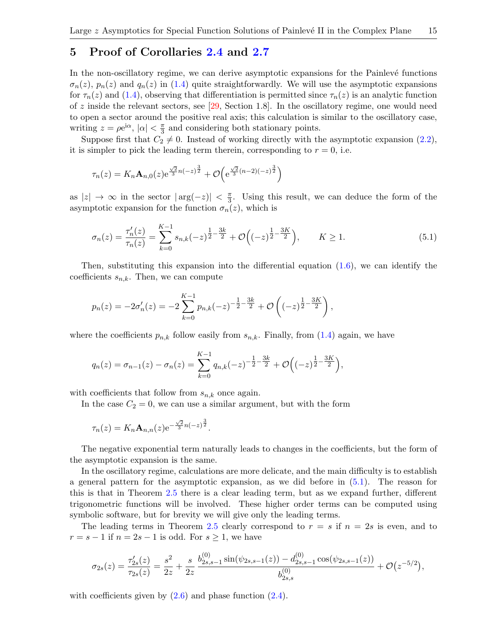#### 5 Proof of Corollaries [2.4](#page-4-2) and [2.7](#page-6-2)

In the non-oscillatory regime, we can derive asymptotic expansions for the Painlevé functions  $\sigma_n(z)$ ,  $p_n(z)$  and  $q_n(z)$  in [\(1.4\)](#page-1-1) quite straightforwardly. We will use the asymptotic expansions for  $\tau_n(z)$  and [\(1.4\)](#page-1-1), observing that differentiation is permitted since  $\tau_n(z)$  is an analytic function of z inside the relevant sectors, see  $[29,$  Section 1.8. In the oscillatory regime, one would need to open a sector around the positive real axis; this calculation is similar to the oscillatory case, writing  $z = \rho e^{i\alpha}, |\alpha| < \frac{\pi}{3}$  $\frac{\pi}{3}$  and considering both stationary points.

Suppose first that  $C_2 \neq 0$ . Instead of working directly with the asymptotic expansion [\(2.2\)](#page-4-0), it is simpler to pick the leading term therein, corresponding to  $r = 0$ , i.e.

$$
\tau_n(z) = K_n \mathbf{A}_{n,0}(z) e^{\frac{\sqrt{2}}{3}n(-z)^{\frac{3}{2}}} + \mathcal{O}\left(e^{\frac{\sqrt{2}}{3}(n-2)(-z)^{\frac{3}{2}}}\right)
$$

as  $|z| \to \infty$  in the sector  $|\arg(-z)| < \frac{\pi}{3}$  $\frac{\pi}{3}$ . Using this result, we can deduce the form of the asymptotic expansion for the function  $\sigma_n(z)$ , which is

$$
\sigma_n(z) = \frac{\tau_n'(z)}{\tau_n(z)} = \sum_{k=0}^{K-1} s_{n,k}(-z)^{\frac{1}{2} - \frac{3k}{2}} + \mathcal{O}\Big((-z)^{\frac{1}{2} - \frac{3K}{2}}\Big), \qquad K \ge 1.
$$
 (5.1)

Then, substituting this expansion into the differential equation  $(1.6)$ , we can identify the coefficients  $s_{n,k}$ . Then, we can compute

$$
p_n(z) = -2\sigma'_n(z) = -2\sum_{k=0}^{K-1} p_{n,k}(-z)^{-\frac{1}{2}-\frac{3k}{2}} + \mathcal{O}\left((-z)^{\frac{1}{2}-\frac{3K}{2}}\right),
$$

<span id="page-15-0"></span>where the coefficients  $p_{n,k}$  follow easily from  $s_{n,k}$ . Finally, from [\(1.4\)](#page-1-1) again, we have

$$
q_n(z) = \sigma_{n-1}(z) - \sigma_n(z) = \sum_{k=0}^{K-1} q_{n,k}(-z)^{-\frac{1}{2}-\frac{3k}{2}} + \mathcal{O}\Big((-z)^{\frac{1}{2}-\frac{3K}{2}}\Big),
$$

with coefficients that follow from  $s_{n,k}$  once again.

In the case  $C_2 = 0$ , we can use a similar argument, but with the form

$$
\tau_n(z) = K_n \mathbf{A}_{n,n}(z) e^{-\frac{\sqrt{2}}{3}n(-z)^{\frac{3}{2}}}.
$$

The negative exponential term naturally leads to changes in the coefficients, but the form of the asymptotic expansion is the same.

In the oscillatory regime, calculations are more delicate, and the main difficulty is to establish a general pattern for the asymptotic expansion, as we did before in [\(5.1\)](#page-14-0). The reason for this is that in Theorem [2.5](#page-5-0) there is a clear leading term, but as we expand further, different trigonometric functions will be involved. These higher order terms can be computed using symbolic software, but for brevity we will give only the leading terms.

The leading terms in Theorem [2.5](#page-5-0) clearly correspond to  $r = s$  if  $n = 2s$  is even, and to  $r = s - 1$  if  $n = 2s - 1$  is odd. For  $s \geq 1$ , we have

$$
\sigma_{2s}(z) = \frac{\tau'_{2s}(z)}{\tau_{2s}(z)} = \frac{s^2}{2z} + \frac{s}{2z} \frac{b_{2s,s-1}^{(0)} \sin(\psi_{2s,s-1}(z)) - d_{2s,s-1}^{(0)} \cos(\psi_{2s,s-1}(z))}{b_{2s,s}^{(0)}} + \mathcal{O}(z^{-5/2}),
$$

with coefficients given by  $(2.6)$  and phase function  $(2.4)$ .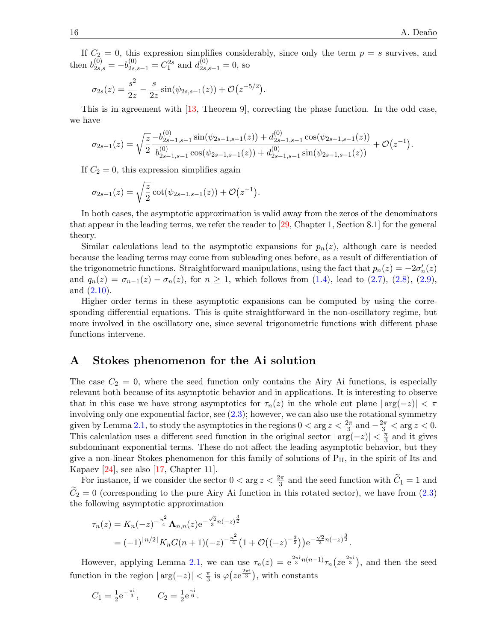.

If  $C_2 = 0$ , this expression simplifies considerably, since only the term  $p = s$  survives, and then  $b_{2s,s}^{(0)} = -b_{2s,s-1}^{(0)} = C_1^{2s}$  and  $d_{2s,s-1}^{(0)} = 0$ , so

$$
\sigma_{2s}(z) = \frac{s^2}{2z} - \frac{s}{2z} \sin(\psi_{2s,s-1}(z)) + \mathcal{O}(z^{-5/2}).
$$

This is in agreement with [\[13,](#page-17-6) Theorem 9], correcting the phase function. In the odd case, we have

$$
\sigma_{2s-1}(z) = \sqrt{\frac{z}{2}} \frac{-b_{2s-1,s-1}^{(0)} \sin(\psi_{2s-1,s-1}(z)) + d_{2s-1,s-1}^{(0)} \cos(\psi_{2s-1,s-1}(z))}{b_{2s-1,s-1}^{(0)} \cos(\psi_{2s-1,s-1}(z)) + d_{2s-1,s-1}^{(0)} \sin(\psi_{2s-1,s-1}(z))} + \mathcal{O}(z^{-1})
$$

If  $C_2 = 0$ , this expression simplifies again

$$
\sigma_{2s-1}(z) = \sqrt{\frac{z}{2}} \cot(\psi_{2s-1,s-1}(z)) + \mathcal{O}(z^{-1}).
$$

In both cases, the asymptotic approximation is valid away from the zeros of the denominators that appear in the leading terms, we refer the reader to [\[29,](#page-18-6) Chapter 1, Section 8.1] for the general theory.

Similar calculations lead to the asymptotic expansions for  $p_n(z)$ , although care is needed because the leading terms may come from subleading ones before, as a result of differentiation of the trigonometric functions. Straightforward manipulations, using the fact that  $p_n(z) = -2\sigma'_n(z)$ and  $q_n(z) = \sigma_{n-1}(z) - \sigma_n(z)$ , for  $n \ge 1$ , which follows from [\(1.4\)](#page-1-1), lead to [\(2.7\)](#page-6-3), [\(2.8\)](#page-7-2), [\(2.9\)](#page-7-0), and [\(2.10\)](#page-7-3).

Higher order terms in these asymptotic expansions can be computed by using the corresponding differential equations. This is quite straightforward in the non-oscillatory regime, but more involved in the oscillatory one, since several trigonometric functions with different phase functions intervene.

#### A Stokes phenomenon for the Ai solution

The case  $C_2 = 0$ , where the seed function only contains the Airy Ai functions, is especially relevant both because of its asymptotic behavior and in applications. It is interesting to observe that in this case we have strong asymptotics for  $\tau_n(z)$  in the whole cut plane  $|\arg(-z)| < \pi$ involving only one exponential factor, see  $(2.3)$ ; however, we can also use the rotational symmetry given by Lemma [2.1,](#page-3-0) to study the asymptotics in the regions  $0 < \arg z < \frac{2\pi}{3}$  and  $-\frac{2\pi}{3} < \arg z < 0$ . This calculation uses a different seed function in the original sector  $|\arg(-z)| < \frac{\pi}{3}$  $\frac{\pi}{3}$  and it gives subdominant exponential terms. These do not affect the leading asymptotic behavior, but they give a non-linear Stokes phenomenon for this family of solutions of  $P_{II}$ , in the spirit of Its and Kapaev [\[24\]](#page-17-25), see also [\[17,](#page-17-1) Chapter 11].

For instance, if we consider the sector  $0 < \arg z < \frac{2\pi}{3}$  and the seed function with  $\tilde{C}_1 = 1$  and  $C_2 = 0$  (corresponding to the pure Airy Ai function in this rotated sector), we have from [\(2.3\)](#page-4-1) the following asymptotic approximation

$$
\tau_n(z) = K_n(-z)^{-\frac{n^2}{4}} \mathbf{A}_{n,n}(z) e^{-\frac{\sqrt{2}}{3}n(-z)^{\frac{3}{2}}}
$$
  
=  $(-1)^{\lfloor n/2 \rfloor} K_n G(n+1)(-z)^{-\frac{n^2}{4}} \left(1 + \mathcal{O}\left((-z)^{-\frac{3}{2}}\right)\right) e^{-\frac{\sqrt{2}}{3}n(-z)^{\frac{3}{2}}}.$ 

<span id="page-16-0"></span>However, applying Lemma [2.1,](#page-3-0) we can use  $\tau_n(z) = e^{\frac{2\pi i}{3}n(n-1)}\tau_n(ze^{\frac{2\pi i}{3}})$ , and then the seed function in the region  $|\arg(-z)| < \frac{\pi}{3}$  $\frac{\pi}{3}$  is  $\varphi\left(ze^{\frac{2\pi i}{3}}\right)$ , with constants

$$
C_1 = \frac{1}{2}e^{-\frac{\pi i}{3}}, \qquad C_2 = \frac{1}{2}e^{\frac{\pi i}{6}}.
$$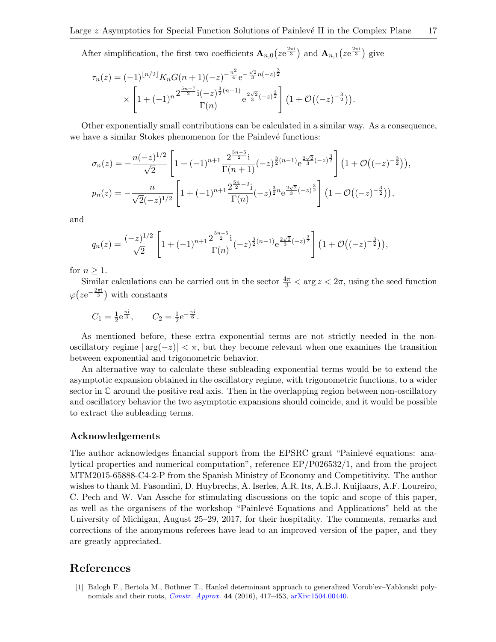<span id="page-17-12"></span>After simplification, the first two coefficients  $\mathbf{A}_{n,0}(ze^{\frac{2\pi i}{3}})$  and  $\mathbf{A}_{n,1}(ze^{\frac{2\pi i}{3}})$  give

<span id="page-17-9"></span><span id="page-17-8"></span>
$$
\tau_n(z) = (-1)^{\lfloor n/2 \rfloor} K_n G(n+1)(-z)^{-\frac{n^2}{4}} e^{-\frac{\sqrt{2}}{3}n(-z)^{\frac{3}{2}}}
$$

$$
\times \left[ 1 + (-1)^n \frac{2^{\frac{5n-7}{2}} i(-z)^{\frac{3}{2}(n-1)}}{\Gamma(n)} e^{\frac{2\sqrt{2}}{3}(-z)^{\frac{3}{2}}} \right] \left( 1 + \mathcal{O}\left( (-z)^{-\frac{3}{2}} \right) \right).
$$

<span id="page-17-20"></span><span id="page-17-18"></span><span id="page-17-10"></span>Other exponentially small contributions can be calculated in a similar way. As a consequence, we have a similar Stokes phenomenon for the Painlevé functions:

<span id="page-17-14"></span><span id="page-17-13"></span>
$$
\sigma_n(z) = -\frac{n(-z)^{1/2}}{\sqrt{2}} \left[ 1 + (-1)^{n+1} \frac{2^{\frac{5n-5}{2}} i}{\Gamma(n+1)} (-z)^{\frac{3}{2}(n-1)} e^{\frac{2\sqrt{2}}{3}(-z)^{\frac{3}{2}}} \right] \left( 1 + \mathcal{O}\left( (-z)^{-\frac{3}{2}} \right) \right),
$$
  
\n
$$
p_n(z) = -\frac{n}{\sqrt{2}(-z)^{1/2}} \left[ 1 + (-1)^{n+1} \frac{2^{\frac{5n}{2} - 2} i}{\Gamma(n)} (-z)^{\frac{3}{2}n} e^{\frac{2\sqrt{2}}{3}(-z)^{\frac{3}{2}}} \right] \left( 1 + \mathcal{O}\left( (-z)^{-\frac{3}{2}} \right) \right),
$$

<span id="page-17-16"></span><span id="page-17-15"></span><span id="page-17-0"></span>and

$$
q_n(z) = \frac{(-z)^{1/2}}{\sqrt{2}} \left[ 1 + (-1)^{n+1} \frac{2^{\frac{5n-5}{2}} i}{\Gamma(n)} (-z)^{\frac{3}{2}(n-1)} e^{\frac{2\sqrt{2}}{3}(-z)^{\frac{3}{2}}} \right] \left( 1 + \mathcal{O}\left( (-z)^{-\frac{3}{2}} \right) \right),
$$

<span id="page-17-6"></span>for  $n \geq 1$ .

<span id="page-17-22"></span>Similar calculations can be carried out in the sector  $\frac{4\pi}{3} < \arg z < 2\pi$ , using the seed function  $\varphi(ze^{-\frac{2\pi i}{3}})$  with constants

<span id="page-17-7"></span>
$$
C_1 = \frac{1}{2}e^{\frac{\pi i}{3}}, \qquad C_2 = \frac{1}{2}e^{-\frac{\pi i}{6}}.
$$

<span id="page-17-21"></span><span id="page-17-1"></span>As mentioned before, these extra exponential terms are not strictly needed in the nonoscillatory regime  $|\arg(-z)| < \pi$ , but they become relevant when one examines the transition between exponential and trigonometric behavior.

<span id="page-17-4"></span><span id="page-17-2"></span>An alternative way to calculate these subleading exponential terms would be to extend the asymptotic expansion obtained in the oscillatory regime, with trigonometric functions, to a wider sector in  $\mathbb C$  around the positive real axis. Then in the overlapping region between non-oscillatory and oscillatory behavior the two asymptotic expansions should coincide, and it would be possible to extract the subleading terms.

#### <span id="page-17-5"></span><span id="page-17-3"></span>Acknowledgements

<span id="page-17-25"></span><span id="page-17-17"></span><span id="page-17-11"></span>The author acknowledges financial support from the EPSRC grant "Painlevé equations: analytical properties and numerical computation", reference EP/P026532/1, and from the project MTM2015-65888-C4-2-P from the Spanish Ministry of Economy and Competitivity. The author wishes to thank M. Fasondini, D. Huybrechs, A. Iserles, A.R. Its, A.B.J. Kuijlaars, A.F. Loureiro, C. Pech and W. Van Assche for stimulating discussions on the topic and scope of this paper, as well as the organisers of the workshop "Painlevé Equations and Applications" held at the University of Michigan, August 25–29, 2017, for their hospitality. The comments, remarks and corrections of the anonymous referees have lead to an improved version of the paper, and they are greatly appreciated.

#### <span id="page-17-24"></span><span id="page-17-23"></span>References

<span id="page-17-19"></span>[1] Balogh F., Bertola M., Bothner T., Hankel determinant approach to generalized Vorob'ev–Yablonski polynomials and their roots, [Constr. Approx.](https://doi.org/10.1007/s00365-016-9328-4) 44 (2016), 417–453, [arXiv:1504.00440.](https://arxiv.org/abs/1504.00440)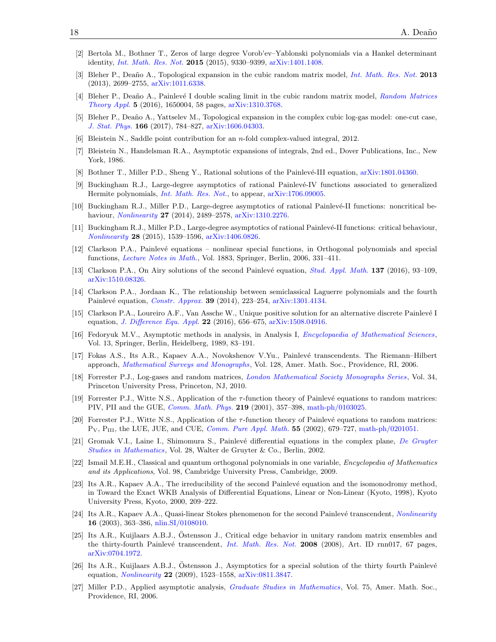- <span id="page-18-3"></span>[2] Bertola M., Bothner T., Zeros of large degree Vorob'ev–Yablonski polynomials via a Hankel determinant identity, [Int. Math. Res. Not.](https://doi.org/10.1093/imrn/rnu239) 2015 (2015), 9330–9399, [arXiv:1401.1408.](https://arxiv.org/abs/1401.1408)
- <span id="page-18-6"></span><span id="page-18-0"></span>[3] Bleher P., Deaño A., Topological expansion in the cubic random matrix model, *[Int. Math. Res. Not.](https://doi.org/10.1093/imrn/rns126)* **2013** (2013), 2699–2755, [arXiv:1011.6338.](https://arxiv.org/abs/1011.6338)
- [4] Bleher P., Deaño A., Painlevé I double scaling limit in the cubic random matrix model, [Random Matrices](https://doi.org/10.1142/S2010326316500040) [Theory Appl.](https://doi.org/10.1142/S2010326316500040) 5 (2016), 1650004, 58 pages, [arXiv:1310.3768.](https://arxiv.org/abs/1310.3768)
- <span id="page-18-5"></span>[5] Bleher P., Deaño A., Yattselev M., Topological expansion in the complex cubic log-gas model: one-cut case, [J. Stat. Phys.](https://doi.org/10.1007/s10955-016-1621-x) 166 (2017), 784–827, [arXiv:1606.04303.](https://arxiv.org/abs/1606.04303)
- <span id="page-18-7"></span>[6] Bleistein N., Saddle point contribution for an n-fold complex-valued integral, 2012.
- <span id="page-18-1"></span>[7] Bleistein N., Handelsman R.A., Asymptotic expansions of integrals, 2nd ed., Dover Publications, Inc., New York, 1986.
- [8] Bothner T., Miller P.D., Sheng Y., Rational solutions of the Painlevé-III equation, [arXiv:1801.04360.](https://arxiv.org/abs/1801.04360)
- <span id="page-18-2"></span>[9] Buckingham R.J., Large-degree asymptotics of rational Painlevé-IV functions associated to generalized Hermite polynomials, *[Int. Math. Res. Not.](https://doi.org/10.1093/imrn/rny172)*, to appear,  $arXiv:1706.09005$ .
- <span id="page-18-4"></span>[10] Buckingham R.J., Miller P.D., Large-degree asymptotics of rational Painlevé-II functions: noncritical behaviour, *[Nonlinearity](https://doi.org/10.1088/0951-7715/27/10/2489)* **27** (2014), 2489–2578, [arXiv:1310.2276.](https://arxiv.org/abs/1310.2276)
- [11] Buckingham R.J., Miller P.D., Large-degree asymptotics of rational Painlev´e-II functions: critical behaviour, [Nonlinearity](https://doi.org/10.1088/0951-7715/28/6/1539) 28 (2015), 1539–1596, [arXiv:1406.0826.](https://arxiv.org/abs/1406.0826)
- [12] Clarkson P.A., Painlev´e equations nonlinear special functions, in Orthogonal polynomials and special functions, [Lecture Notes in Math.](https://doi.org/10.1007/978-3-540-36716-1_7), Vol. 1883, Springer, Berlin, 2006, 331–411.
- [13] Clarkson P.A., On Airy solutions of the second Painlevé equation, *[Stud. Appl. Math.](https://doi.org/10.1111/sapm.12123)* **137** (2016), 93–109, [arXiv:1510.08326.](https://arxiv.org/abs/1510.08326)
- [14] Clarkson P.A., Jordaan K., The relationship between semiclassical Laguerre polynomials and the fourth Painlevé equation, *[Constr. Approx.](https://doi.org/10.1007/s00365-013-9220-4)* **39** (2014), 223–254, [arXiv:1301.4134.](https://arxiv.org/abs/1301.4134)
- [15] Clarkson P.A., Loureiro A.F., Van Assche W., Unique positive solution for an alternative discrete Painlevé I equation, *[J. Difference Equ. Appl.](https://doi.org/10.1080/10236198.2015.1127917)* **22** (2016), 656–675, [arXiv:1508.04916.](https://arxiv.org/abs/1508.04916)
- [16] Fedoryuk M.V., Asymptotic methods in analysis, in Analysis I, *[Encyclopaedia of Mathematical Sciences](https://doi.org/10.1007/978-3-642-61310-4_2)*, Vol. 13, Springer, Berlin, Heidelberg, 1989, 83–191.
- [17] Fokas A.S., Its A.R., Kapaev A.A., Novokshenov V.Yu., Painlevé transcendents. The Riemann–Hilbert approach, [Mathematical Surveys and Monographs](https://doi.org/10.1090/surv/128), Vol. 128, Amer. Math. Soc., Providence, RI, 2006.
- [18] Forrester P.J., Log-gases and random matrices, *[London Mathematical Society Monographs Series](https://doi.org/10.1515/9781400835416)*, Vol. 34, Princeton University Press, Princeton, NJ, 2010.
- [19] Forrester P.J., Witte N.S., Application of the  $\tau$ -function theory of Painlevé equations to random matrices: PIV, PII and the GUE, [Comm. Math. Phys.](https://doi.org/10.1007/s002200100422) 219 (2001), 357–398, [math-ph/0103025.](https://arxiv.org/abs/math-ph/0103025)
- [20] Forrester P.J., Witte N.S., Application of the  $\tau$ -function theory of Painlevé equations to random matrices:  $P_V$ ,  $P_{III}$ , the LUE, JUE, and CUE, *[Comm. Pure Appl. Math.](https://doi.org/10.1002/cpa.3021)* 55 (2002), 679–727, [math-ph/0201051.](https://arxiv.org/abs/math-ph/0201051)
- [21] Gromak V.I., Laine I., Shimomura S., Painlevé differential equations in the complex plane, [De Gruyter](https://doi.org/10.1515/9783110198096) [Studies in Mathematics](https://doi.org/10.1515/9783110198096), Vol. 28, Walter de Gruyter & Co., Berlin, 2002.
- [22] Ismail M.E.H., Classical and quantum orthogonal polynomials in one variable, Encyclopedia of Mathematics and its Applications, Vol. 98, Cambridge University Press, Cambridge, 2009.
- [23] Its A.R., Kapaev A.A., The irreducibility of the second Painlevé equation and the isomonodromy method, in Toward the Exact WKB Analysis of Differential Equations, Linear or Non-Linear (Kyoto, 1998), Kyoto University Press, Kyoto, 2000, 209–222.
- [24] Its A.R., Kapaev A.A., Quasi-linear Stokes phenomenon for the second Painlevé transcendent, [Nonlinearity](https://doi.org/10.1088/0951-7715/16/1/321) 16 (2003), 363–386, [nlin.SI/0108010.](https://arxiv.org/abs/nlin.SI/0108010)
- [25] Its A.R., Kuijlaars A.B.J., Ostensson J., Critical edge behavior in unitary random matrix ensembles and the thirty-fourth Painlevé transcendent, [Int. Math. Res. Not.](https://doi.org/10.1093/imrn/rnn017) 2008 (2008), Art. ID rnn017, 67 pages, [arXiv:0704.1972.](https://arxiv.org/abs/0704.1972)
- [26] Its A.R., Kuijlaars A.B.J., Östensson J., Asymptotics for a special solution of the thirty fourth Painlevé equation, [Nonlinearity](https://doi.org/10.1088/0951-7715/22/7/002) 22 (2009), 1523–1558, [arXiv:0811.3847.](https://arxiv.org/abs/0811.3847)
- [27] Miller P.D., Applied asymptotic analysis, [Graduate Studies in Mathematics](https://doi.org/10.1090/gsm/075), Vol. 75, Amer. Math. Soc., Providence, RI, 2006.